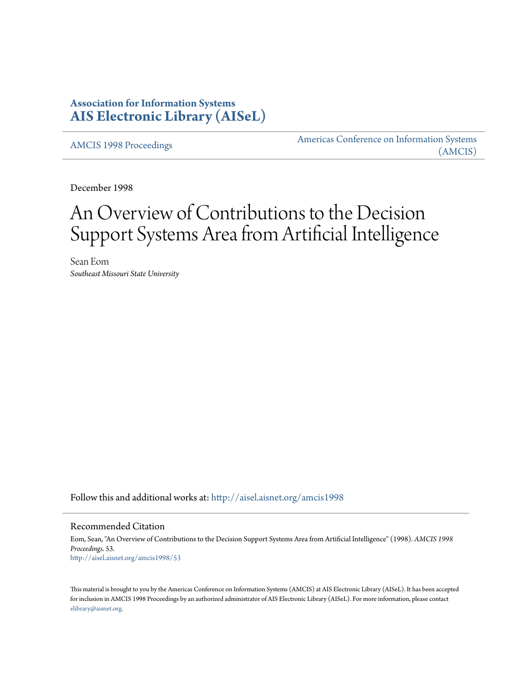# **Association for Information Systems [AIS Electronic Library \(AISeL\)](http://aisel.aisnet.org?utm_source=aisel.aisnet.org%2Famcis1998%2F53&utm_medium=PDF&utm_campaign=PDFCoverPages)**

[AMCIS 1998 Proceedings](http://aisel.aisnet.org/amcis1998?utm_source=aisel.aisnet.org%2Famcis1998%2F53&utm_medium=PDF&utm_campaign=PDFCoverPages)

[Americas Conference on Information Systems](http://aisel.aisnet.org/amcis?utm_source=aisel.aisnet.org%2Famcis1998%2F53&utm_medium=PDF&utm_campaign=PDFCoverPages) [\(AMCIS\)](http://aisel.aisnet.org/amcis?utm_source=aisel.aisnet.org%2Famcis1998%2F53&utm_medium=PDF&utm_campaign=PDFCoverPages)

December 1998

# An Overview of Contributions to the Decision Support Systems Area from Artificial Intelligence

Sean Eom *Southeast Missouri State University*

Follow this and additional works at: [http://aisel.aisnet.org/amcis1998](http://aisel.aisnet.org/amcis1998?utm_source=aisel.aisnet.org%2Famcis1998%2F53&utm_medium=PDF&utm_campaign=PDFCoverPages)

# Recommended Citation

Eom, Sean, "An Overview of Contributions to the Decision Support Systems Area from Artificial Intelligence" (1998). *AMCIS 1998 Proceedings*. 53. [http://aisel.aisnet.org/amcis1998/53](http://aisel.aisnet.org/amcis1998/53?utm_source=aisel.aisnet.org%2Famcis1998%2F53&utm_medium=PDF&utm_campaign=PDFCoverPages)

This material is brought to you by the Americas Conference on Information Systems (AMCIS) at AIS Electronic Library (AISeL). It has been accepted for inclusion in AMCIS 1998 Proceedings by an authorized administrator of AIS Electronic Library (AISeL). For more information, please contact [elibrary@aisnet.org.](mailto:elibrary@aisnet.org%3E)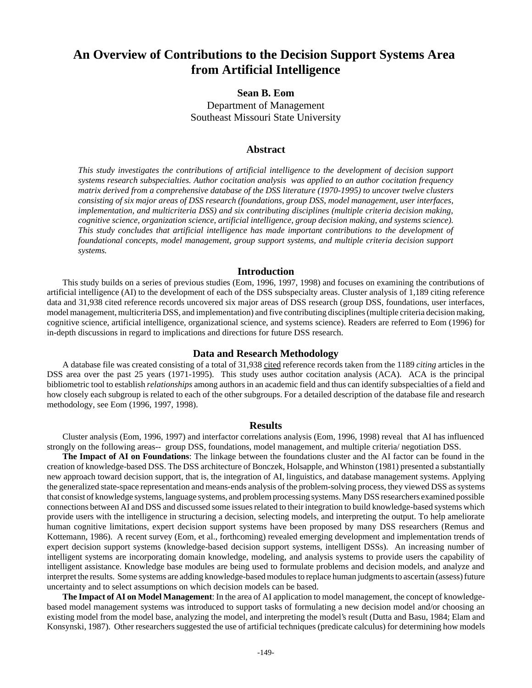# **An Overview of Contributions to the Decision Support Systems Area from Artificial Intelligence**

# **Sean B. Eom** Department of Management Southeast Missouri State University

## **Abstract**

*This study investigates the contributions of artificial intelligence to the development of decision support systems research subspecialties. Author cocitation analysis was applied to an author cocitation frequency matrix derived from a comprehensive database of the DSS literature (1970-1995) to uncover twelve clusters consisting of six major areas of DSS research (foundations, group DSS, model management, user interfaces, implementation, and multicriteria DSS) and six contributing disciplines (multiple criteria decision making, cognitive science, organization science, artificial intelligence, group decision making, and systems science). This study concludes that artificial intelligence has made important contributions to the development of foundational concepts, model management, group support systems, and multiple criteria decision support systems.*

# **Introduction**

This study builds on a series of previous studies (Eom, 1996, 1997, 1998) and focuses on examining the contributions of artificial intelligence (AI) to the development of each of the DSS subspecialty areas. Cluster analysis of 1,189 citing reference data and 31,938 cited reference records uncovered six major areas of DSS research (group DSS, foundations, user interfaces, model management, multicriteria DSS, and implementation) and five contributing disciplines (multiple criteria decision making, cognitive science, artificial intelligence, organizational science, and systems science). Readers are referred to Eom (1996) for in-depth discussions in regard to implications and directions for future DSS research.

## **Data and Research Methodology**

A database file was created consisting of a total of 31,938 cited reference records taken from the 1189 *citing* articles in the DSS area over the past 25 years (1971-1995). This study uses author cocitation analysis (ACA). ACA is the principal bibliometric tool to establish *relationships* among authors in an academic field and thus can identify subspecialties of a field and how closely each subgroup is related to each of the other subgroups. For a detailed description of the database file and research methodology, see Eom (1996, 1997, 1998).

#### **Results**

Cluster analysis (Eom, 1996, 1997) and interfactor correlations analysis (Eom, 1996, 1998) reveal that AI has influenced strongly on the following areas-- group DSS, foundations, model management, and multiple criteria/ negotiation DSS.

**The Impact of AI on Foundations**: The linkage between the foundations cluster and the AI factor can be found in the creation of knowledge-based DSS. The DSS architecture of Bonczek, Holsapple, and Whinston (1981) presented a substantially new approach toward decision support, that is, the integration of AI, linguistics, and database management systems. Applying the generalized state-space representation and means-ends analysis of the problem-solving process, they viewed DSS as systems that consist of knowledge systems, language systems, and problem processing systems. Many DSS researchers examined possible connections between AI and DSS and discussed some issues related to their integration to build knowledge-based systems which provide users with the intelligence in structuring a decision, selecting models, and interpreting the output. To help ameliorate human cognitive limitations, expert decision support systems have been proposed by many DSS researchers (Remus and Kottemann, 1986). A recent survey (Eom, et al., forthcoming) revealed emerging development and implementation trends of expert decision support systems (knowledge-based decision support systems, intelligent DSSs). An increasing number of intelligent systems are incorporating domain knowledge, modeling, and analysis systems to provide users the capability of intelligent assistance. Knowledge base modules are being used to formulate problems and decision models, and analyze and interpret the results. Some systems are adding knowledge-based modules to replace human judgments to ascertain (assess) future uncertainty and to select assumptions on which decision models can be based.

**The Impact of AI on Model Management**: In the area of AI application to model management, the concept of knowledgebased model management systems was introduced to support tasks of formulating a new decision model and/or choosing an existing model from the model base, analyzing the model, and interpreting the model's result (Dutta and Basu, 1984; Elam and Konsynski, 1987). Other researchers suggested the use of artificial techniques (predicate calculus) for determining how models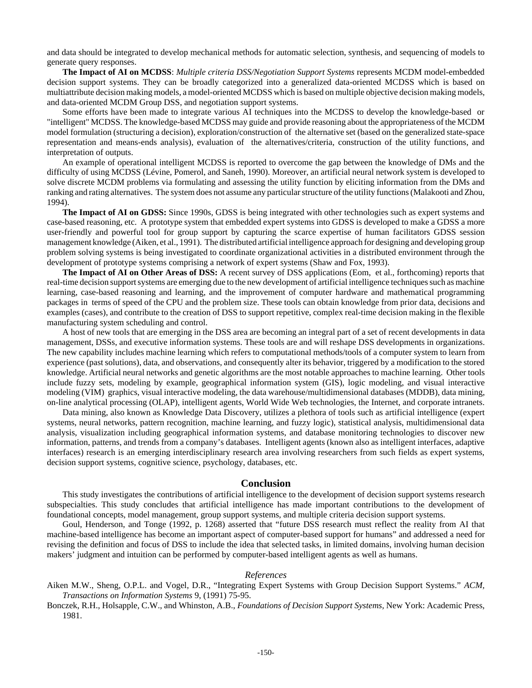and data should be integrated to develop mechanical methods for automatic selection, synthesis, and sequencing of models to generate query responses.

**The Impact of AI on MCDSS**: *Multiple criteria DSS/Negotiation Support Systems* represents MCDM model-embedded decision support systems. They can be broadly categorized into a generalized data-oriented MCDSS which is based on multiattribute decision making models, a model-oriented MCDSS which is based on multiple objective decision making models, and data-oriented MCDM Group DSS, and negotiation support systems.

Some efforts have been made to integrate various AI techniques into the MCDSS to develop the knowledge-based or "intelligent" MCDSS. The knowledge-based MCDSS may guide and provide reasoning about the appropriateness of the MCDM model formulation (structuring a decision), exploration/construction of the alternative set (based on the generalized state-space representation and means-ends analysis), evaluation of the alternatives/criteria, construction of the utility functions, and interpretation of outputs.

An example of operational intelligent MCDSS is reported to overcome the gap between the knowledge of DMs and the difficulty of using MCDSS (Lévine, Pomerol, and Saneh, 1990). Moreover, an artificial neural network system is developed to solve discrete MCDM problems via formulating and assessing the utility function by eliciting information from the DMs and ranking and rating alternatives. The system does not assume any particular structure of the utility functions (Malakooti and Zhou, 1994).

**The Impact of AI on GDSS:** Since 1990s, GDSS is being integrated with other technologies such as expert systems and case-based reasoning, etc. A prototype system that embedded expert systems into GDSS is developed to make a GDSS a more user-friendly and powerful tool for group support by capturing the scarce expertise of human facilitators GDSS session management knowledge (Aiken, et al., 1991). The distributed artificial intelligence approach for designing and developing group problem solving systems is being investigated to coordinate organizational activities in a distributed environment through the development of prototype systems comprising a network of expert systems (Shaw and Fox, 1993).

**The Impact of AI on Other Areas of DSS:** A recent survey of DSS applications (Eom, et al., forthcoming) reports that real-time decision support systems are emerging due to the new development of artificial intelligence techniques such as machine learning, case-based reasoning and learning, and the improvement of computer hardware and mathematical programming packages in terms of speed of the CPU and the problem size. These tools can obtain knowledge from prior data, decisions and examples (cases), and contribute to the creation of DSS to support repetitive, complex real-time decision making in the flexible manufacturing system scheduling and control.

A host of new tools that are emerging in the DSS area are becoming an integral part of a set of recent developments in data management, DSSs, and executive information systems. These tools are and will reshape DSS developments in organizations. The new capability includes machine learning which refers to computational methods/tools of a computer system to learn from experience (past solutions), data, and observations, and consequently alter its behavior, triggered by a modification to the stored knowledge. Artificial neural networks and genetic algorithms are the most notable approaches to machine learning. Other tools include fuzzy sets, modeling by example, geographical information system (GIS), logic modeling, and visual interactive modeling (VIM) graphics, visual interactive modeling, the data warehouse/multidimensional databases (MDDB), data mining, on-line analytical processing (OLAP), intelligent agents, World Wide Web technologies, the Internet, and corporate intranets.

Data mining, also known as Knowledge Data Discovery, utilizes a plethora of tools such as artificial intelligence (expert systems, neural networks, pattern recognition, machine learning, and fuzzy logic), statistical analysis, multidimensional data analysis, visualization including geographical information systems, and database monitoring technologies to discover new information, patterns, and trends from a company's databases. Intelligent agents (known also as intelligent interfaces, adaptive interfaces) research is an emerging interdisciplinary research area involving researchers from such fields as expert systems, decision support systems, cognitive science, psychology, databases, etc.

#### **Conclusion**

This study investigates the contributions of artificial intelligence to the development of decision support systems research subspecialties. This study concludes that artificial intelligence has made important contributions to the development of foundational concepts, model management, group support systems, and multiple criteria decision support systems.

Goul, Henderson, and Tonge (1992, p. 1268) asserted that "future DSS research must reflect the reality from AI that machine-based intelligence has become an important aspect of computer-based support for humans" and addressed a need for revising the definition and focus of DSS to include the idea that selected tasks, in limited domains, involving human decision makers' judgment and intuition can be performed by computer-based intelligent agents as well as humans.

### *References*

Aiken M.W., Sheng, O.P.L. and Vogel, D.R., "Integrating Expert Systems with Group Decision Support Systems." *ACM, Transactions on Information Systems* 9, (1991) 75-95.

Bonczek, R.H., Holsapple, C.W., and Whinston, A.B., *Foundations of Decision Support Systems,* New York: Academic Press, 1981.